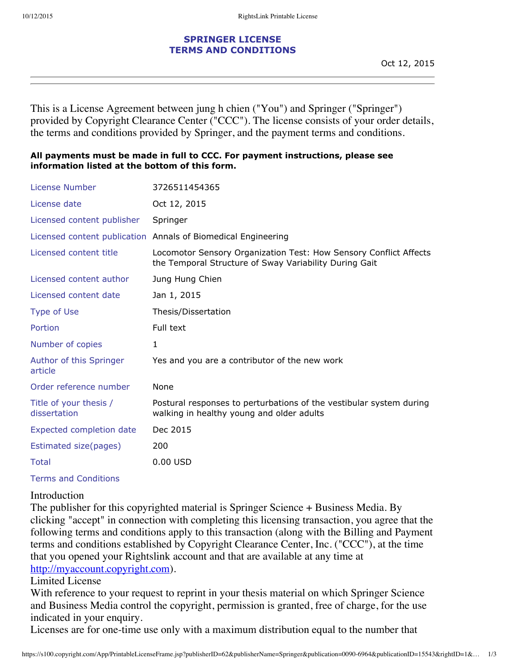## **SPRINGER LICENSE TERMS AND CONDITIONS**

This is a License Agreement between jung h chien ("You") and Springer ("Springer") provided by Copyright Clearance Center ("CCC"). The license consists of your order details, the terms and conditions provided by Springer, and the payment terms and conditions.

## **All payments must be made in full to CCC. For payment instructions, please see information listed at the bottom of this form.**

| License Number                         | 3726511454365                                                                                                               |
|----------------------------------------|-----------------------------------------------------------------------------------------------------------------------------|
| License date                           | Oct 12, 2015                                                                                                                |
| Licensed content publisher             | Springer                                                                                                                    |
|                                        | Licensed content publication Annals of Biomedical Engineering                                                               |
| Licensed content title                 | Locomotor Sensory Organization Test: How Sensory Conflict Affects<br>the Temporal Structure of Sway Variability During Gait |
| Licensed content author                | Jung Hung Chien                                                                                                             |
| Licensed content date                  | Jan 1, 2015                                                                                                                 |
| <b>Type of Use</b>                     | Thesis/Dissertation                                                                                                         |
| Portion                                | Full text                                                                                                                   |
| Number of copies                       | $\mathbf{1}$                                                                                                                |
| Author of this Springer<br>article     | Yes and you are a contributor of the new work                                                                               |
| Order reference number                 | None                                                                                                                        |
| Title of your thesis /<br>dissertation | Postural responses to perturbations of the vestibular system during<br>walking in healthy young and older adults            |
| <b>Expected completion date</b>        | Dec 2015                                                                                                                    |
| Estimated size(pages)                  | 200                                                                                                                         |
| Total                                  | $0.00$ USD                                                                                                                  |

Terms and Conditions

## Introduction

The publisher for this copyrighted material is Springer Science + Business Media. By clicking "accept" in connection with completing this licensing transaction, you agree that the following terms and conditions apply to this transaction (along with the Billing and Payment terms and conditions established by Copyright Clearance Center, Inc. ("CCC"), at the time that you opened your Rightslink account and that are available at any time at http://myaccount.copyright.com).

## Limited License

With reference to your request to reprint in your thesis material on which Springer Science and Business Media control the copyright, permission is granted, free of charge, for the use indicated in your enquiry.

Licenses are for one-time use only with a maximum distribution equal to the number that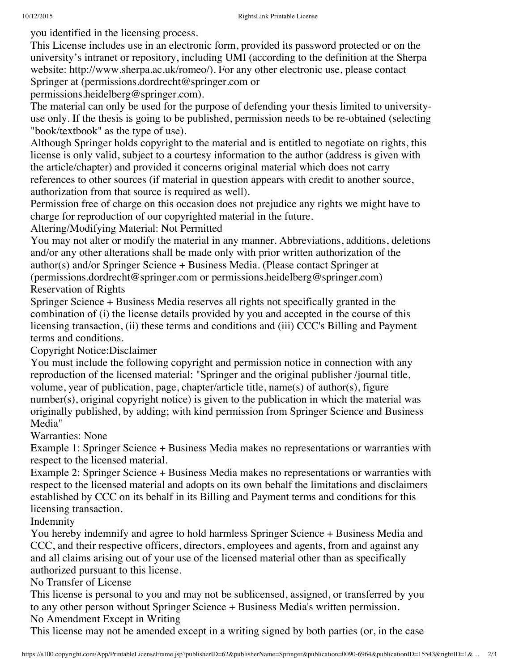you identified in the licensing process.

This License includes use in an electronic form, provided its password protected or on the university's intranet or repository, including UMI (according to the definition at the Sherpa website: http://www.sherpa.ac.uk/romeo/). For any other electronic use, please contact Springer at (permissions.dordrecht@springer.com or

permissions.heidelberg@springer.com).

The material can only be used for the purpose of defending your thesis limited to universityuse only. If the thesis is going to be published, permission needs to be re-obtained (selecting "book/textbook" as the type of use).

Although Springer holds copyright to the material and is entitled to negotiate on rights, this license is only valid, subject to a courtesy information to the author (address is given with the article/chapter) and provided it concerns original material which does not carry references to other sources (if material in question appears with credit to another source, authorization from that source is required as well).

Permission free of charge on this occasion does not prejudice any rights we might have to charge for reproduction of our copyrighted material in the future.

Altering/Modifying Material: Not Permitted

You may not alter or modify the material in any manner. Abbreviations, additions, deletions and/or any other alterations shall be made only with prior written authorization of the author(s) and/or Springer Science + Business Media. (Please contact Springer at (permissions.dordrecht@springer.com or permissions.heidelberg@springer.com) Reservation of Rights

Springer Science + Business Media reserves all rights not specifically granted in the combination of (i) the license details provided by you and accepted in the course of this licensing transaction, (ii) these terms and conditions and (iii) CCC's Billing and Payment terms and conditions.

Copyright Notice:Disclaimer

You must include the following copyright and permission notice in connection with any reproduction of the licensed material: "Springer and the original publisher /journal title, volume, year of publication, page, chapter/article title, name(s) of author(s), figure number(s), original copyright notice) is given to the publication in which the material was originally published, by adding; with kind permission from Springer Science and Business Media"

Warranties: None

Example 1: Springer Science + Business Media makes no representations or warranties with respect to the licensed material.

Example 2: Springer Science + Business Media makes no representations or warranties with respect to the licensed material and adopts on its own behalf the limitations and disclaimers established by CCC on its behalf in its Billing and Payment terms and conditions for this licensing transaction.

Indemnity

You hereby indemnify and agree to hold harmless Springer Science + Business Media and CCC, and their respective officers, directors, employees and agents, from and against any and all claims arising out of your use of the licensed material other than as specifically authorized pursuant to this license.

No Transfer of License

This license is personal to you and may not be sublicensed, assigned, or transferred by you to any other person without Springer Science + Business Media's written permission.

No Amendment Except in Writing

This license may not be amended except in a writing signed by both parties (or, in the case